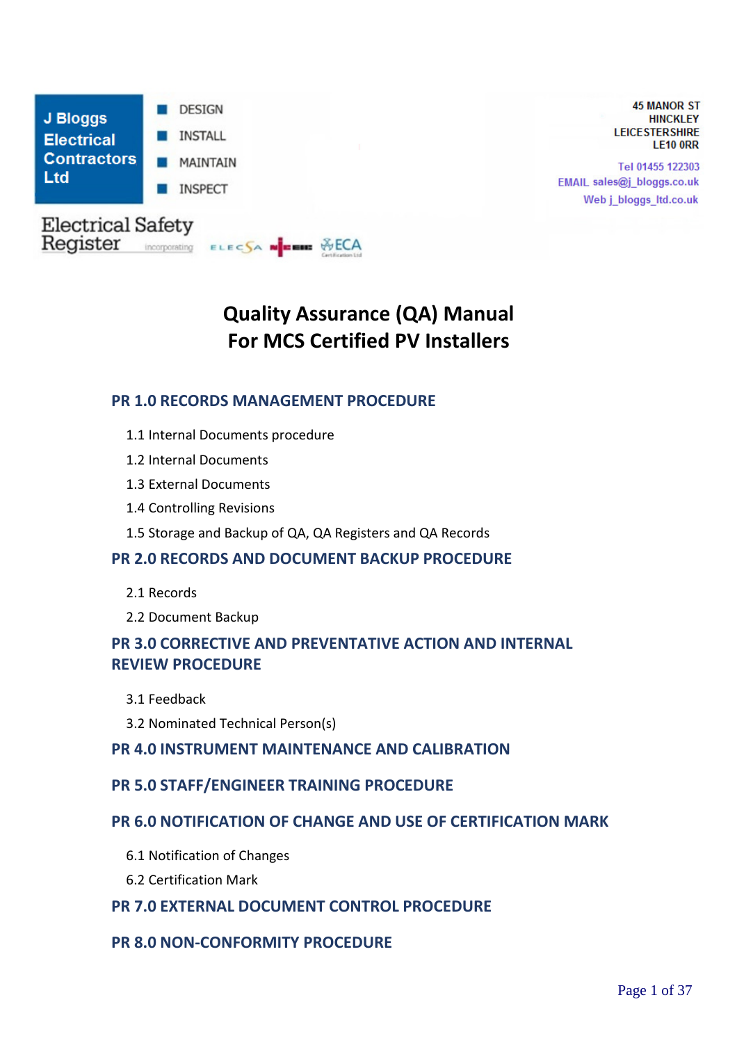

**45 MANOR ST HINCKLEY LEICESTERSHIRE LE10 ORR** 

Tel 01455 122303 EMAIL sales@j\_bloggs.co.uk Web j\_bloggs\_ltd.co.uk

# **Quality Assurance (QA) Manual For MCS Certified PV Installers**

## **PR 1.0 RECORDS MANAGEMENT PROCEDURE**

- 1.1 Internal Documents procedure
- 1.2 Internal Documents
- 1.3 External Documents
- 1.4 Controlling Revisions
- 1.5 Storage and Backup of QA, QA Registers and QA Records

#### **PR 2.0 RECORDS AND DOCUMENT BACKUP PROCEDURE**

- 2.1 Records
- 2.2 Document Backup

## **PR 3.0 CORRECTIVE AND PREVENTATIVE ACTION AND INTERNAL REVIEW PROCEDURE**

- 3.1 Feedback
- 3.2 Nominated Technical Person(s)

#### **PR 4.0 INSTRUMENT MAINTENANCE AND CALIBRATION**

#### **PR 5.0 STAFF/ENGINEER TRAINING PROCEDURE**

## **PR 6.0 NOTIFICATION OF CHANGE AND USE OF CERTIFICATION MARK**

- 6.1 Notification of Changes
- 6.2 Certification Mark

## **PR 7.0 EXTERNAL DOCUMENT CONTROL PROCEDURE**

## **PR 8.0 NON-CONFORMITY PROCEDURE**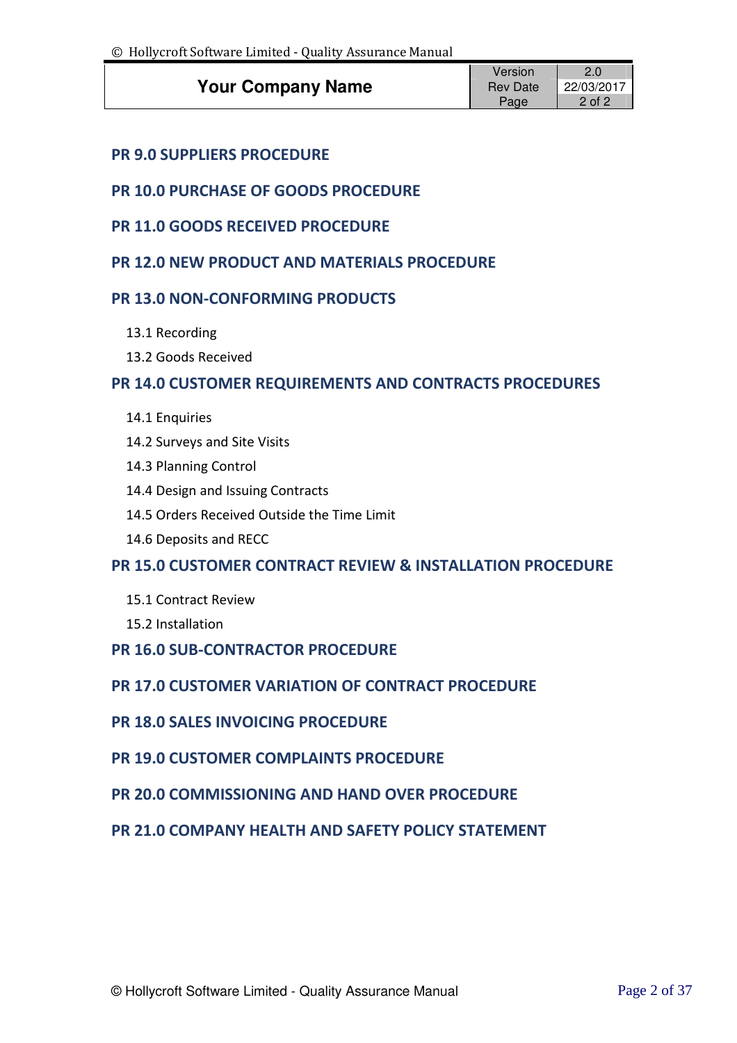|                          | Version             |        |
|--------------------------|---------------------|--------|
| <b>Your Company Name</b> | Rev Date 22/03/2017 |        |
|                          | Page                | 2 of 2 |

## **PR 9.0 SUPPLIERS PROCEDURE**

## **PR 10.0 PURCHASE OF GOODS PROCEDURE**

- **PR 11.0 GOODS RECEIVED PROCEDURE**
- **PR 12.0 NEW PRODUCT AND MATERIALS PROCEDURE**

## **PR 13.0 NON-CONFORMING PRODUCTS**

- 13.1 Recording
- 13.2 Goods Received

## **PR 14.0 CUSTOMER REQUIREMENTS AND CONTRACTS PROCEDURES**

- 14.1 Enquiries
- 14.2 Surveys and Site Visits
- 14.3 Planning Control
- 14.4 Design and Issuing Contracts
- 14.5 Orders Received Outside the Time Limit
- 14.6 Deposits and RECC

## **PR 15.0 CUSTOMER CONTRACT REVIEW & INSTALLATION PROCEDURE**

- 15.1 Contract Review
- 15.2 Installation
- **PR 16.0 SUB-CONTRACTOR PROCEDURE**

## **PR 17.0 CUSTOMER VARIATION OF CONTRACT PROCEDURE**

- **PR 18.0 SALES INVOICING PROCEDURE**
- **PR 19.0 CUSTOMER COMPLAINTS PROCEDURE**
- **PR 20.0 COMMISSIONING AND HAND OVER PROCEDURE**

## **PR 21.0 COMPANY HEALTH AND SAFETY POLICY STATEMENT**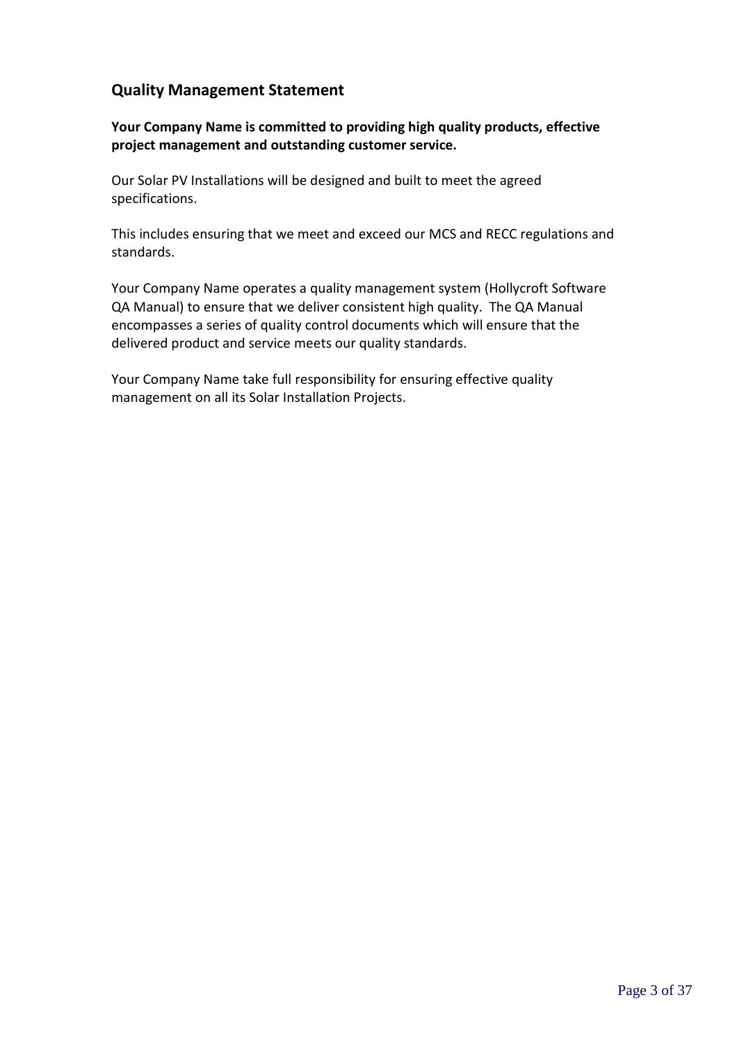## **Quality Management Statement**

**Your Company Name is committed to providing high quality products, effective project management and outstanding customer service.**

Our Solar PV Installations will be designed and built to meet the agreed specifications.

This includes ensuring that we meet and exceed our MCS and RECC regulations and standards.

Your Company Name operates a quality management system (Hollycroft Software QA Manual) to ensure that we deliver consistent high quality. The QA Manual encompasses a series of quality control documents which will ensure that the delivered product and service meets our quality standards.

Your Company Name take full responsibility for ensuring effective quality management on all its Solar Installation Projects.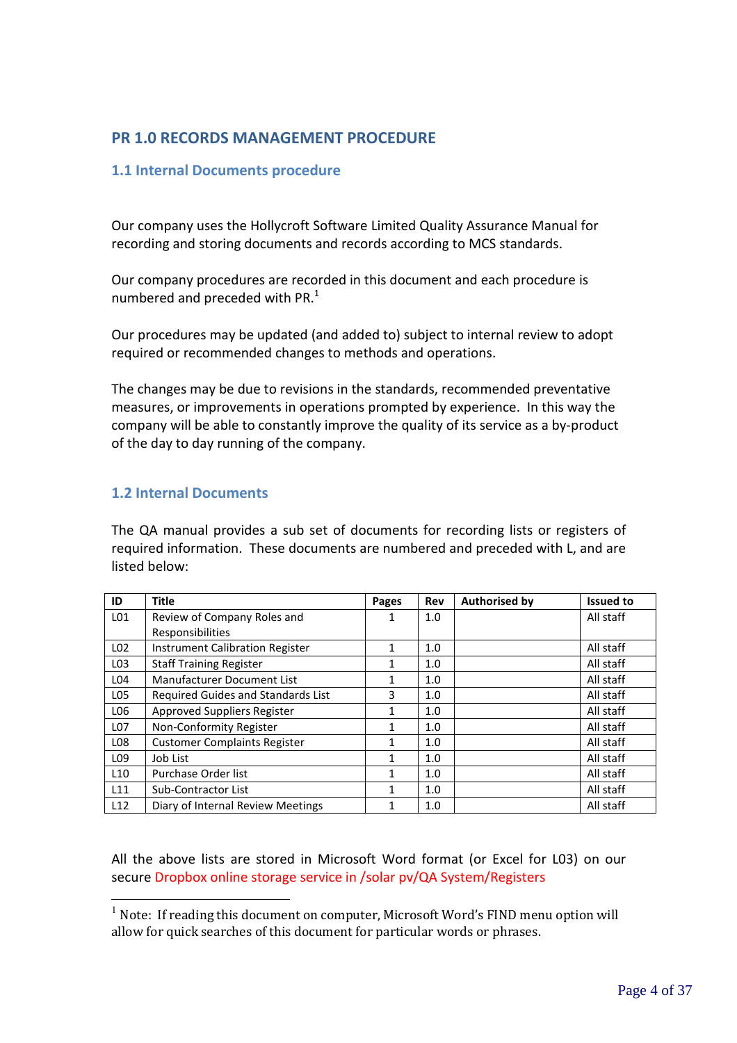## **PR 1.0 RECORDS MANAGEMENT PROCEDURE**

#### **1.1 Internal Documents procedure**

Our company uses the Hollycroft Software Limited Quality Assurance Manual for recording and storing documents and records according to MCS standards.

Our company procedures are recorded in this document and each procedure is numbered and preceded with PR. $<sup>1</sup>$ </sup>

Our procedures may be updated (and added to) subject to internal review to adopt required or recommended changes to methods and operations.

The changes may be due to revisions in the standards, recommended preventative measures, or improvements in operations prompted by experience. In this way the company will be able to constantly improve the quality of its service as a by-product of the day to day running of the company.

#### **1.2 Internal Documents**

 $\overline{a}$ 

The QA manual provides a sub set of documents for recording lists or registers of required information. These documents are numbered and preceded with L, and are listed below:

| ID              | <b>Title</b>                           | <b>Pages</b> | Rev | <b>Authorised by</b> | <b>Issued to</b> |
|-----------------|----------------------------------------|--------------|-----|----------------------|------------------|
| L <sub>01</sub> | Review of Company Roles and            | 1            | 1.0 |                      | All staff        |
|                 | Responsibilities                       |              |     |                      |                  |
| L <sub>02</sub> | <b>Instrument Calibration Register</b> | 1            | 1.0 |                      | All staff        |
| L <sub>03</sub> | <b>Staff Training Register</b>         | 1            | 1.0 |                      | All staff        |
| L <sub>04</sub> | Manufacturer Document List             | 1            | 1.0 |                      | All staff        |
| L <sub>05</sub> | Required Guides and Standards List     | 3            | 1.0 |                      | All staff        |
| L06             | Approved Suppliers Register            | 1            | 1.0 |                      | All staff        |
| L07             | Non-Conformity Register                | 1            | 1.0 |                      | All staff        |
| LO <sub>8</sub> | <b>Customer Complaints Register</b>    | 1            | 1.0 |                      | All staff        |
| L <sub>09</sub> | Job List                               |              | 1.0 |                      | All staff        |
| L10             | Purchase Order list                    | 1            | 1.0 |                      | All staff        |
| L11             | Sub-Contractor List                    | 1            | 1.0 |                      | All staff        |
| L12             | Diary of Internal Review Meetings      |              | 1.0 |                      | All staff        |

All the above lists are stored in Microsoft Word format (or Excel for L03) on our secure Dropbox online storage service in /solar pv/QA System/Registers

 $1$  Note: If reading this document on computer, Microsoft Word's FIND menu option will allow for quick searches of this document for particular words or phrases.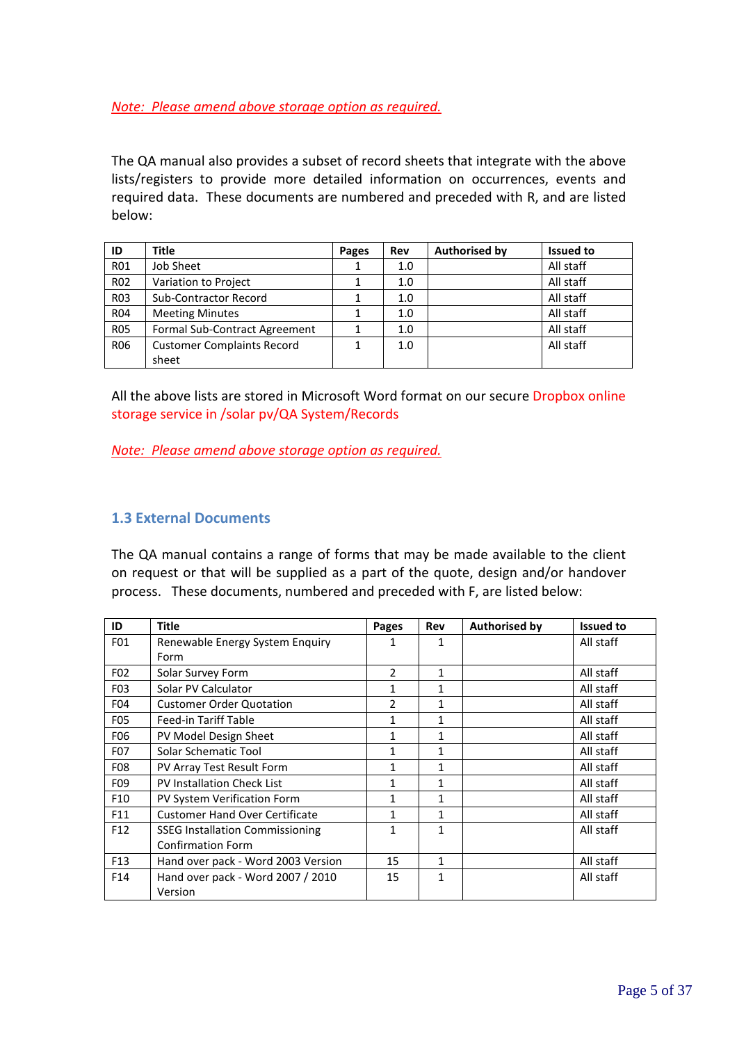#### *Note: Please amend above storage option as required.*

The QA manual also provides a subset of record sheets that integrate with the above lists/registers to provide more detailed information on occurrences, events and required data. These documents are numbered and preceded with R, and are listed below:

| ID               | Title                                | Pages | Rev | <b>Authorised by</b> | <b>Issued to</b> |
|------------------|--------------------------------------|-------|-----|----------------------|------------------|
| <b>R01</b>       | Job Sheet                            |       | 1.0 |                      | All staff        |
| <b>R02</b>       | Variation to Project                 |       | 1.0 |                      | All staff        |
| R <sub>0</sub> 3 | <b>Sub-Contractor Record</b>         |       | 1.0 |                      | All staff        |
| <b>R04</b>       | <b>Meeting Minutes</b>               |       | 1.0 |                      | All staff        |
| <b>R05</b>       | <b>Formal Sub-Contract Agreement</b> |       | 1.0 |                      | All staff        |
| <b>R06</b>       | <b>Customer Complaints Record</b>    |       | 1.0 |                      | All staff        |
|                  | sheet                                |       |     |                      |                  |

All the above lists are stored in Microsoft Word format on our secure Dropbox online storage service in /solar pv/QA System/Records

*Note: Please amend above storage option as required.*

#### **1.3 External Documents**

The QA manual contains a range of forms that may be made available to the client on request or that will be supplied as a part of the quote, design and/or handover process. These documents, numbered and preceded with F, are listed below:

| ID               | <b>Title</b>                           | Pages                    | Rev          | <b>Authorised by</b> | <b>Issued to</b> |
|------------------|----------------------------------------|--------------------------|--------------|----------------------|------------------|
| F01              | Renewable Energy System Enquiry        |                          | 1            |                      | All staff        |
|                  | Form                                   |                          |              |                      |                  |
| F <sub>02</sub>  | Solar Survey Form                      | $\mathfrak{p}$           | 1            |                      | All staff        |
| F <sub>0</sub> 3 | Solar PV Calculator                    | 1                        | 1            |                      | All staff        |
| F04              | <b>Customer Order Quotation</b>        | $\overline{\phantom{a}}$ | 1            |                      | All staff        |
| <b>F05</b>       | Feed-in Tariff Table                   | 1                        | $\mathbf{1}$ |                      | All staff        |
| F <sub>06</sub>  | PV Model Design Sheet                  | 1                        | 1            |                      | All staff        |
| F07              | <b>Solar Schematic Tool</b>            | 1                        | 1            |                      | All staff        |
| <b>F08</b>       | PV Array Test Result Form              | 1                        | 1            |                      | All staff        |
| F <sub>09</sub>  | PV Installation Check List             | 1                        | 1            |                      | All staff        |
| F <sub>10</sub>  | PV System Verification Form            | $\mathbf{1}$             | 1            |                      | All staff        |
| F11              | <b>Customer Hand Over Certificate</b>  | 1                        | 1            |                      | All staff        |
| F <sub>12</sub>  | <b>SSEG Installation Commissioning</b> | 1                        | 1            |                      | All staff        |
|                  | <b>Confirmation Form</b>               |                          |              |                      |                  |
| F <sub>13</sub>  | Hand over pack - Word 2003 Version     | 15                       | 1            |                      | All staff        |
| F14              | Hand over pack - Word 2007 / 2010      | 15                       | 1            |                      | All staff        |
|                  | Version                                |                          |              |                      |                  |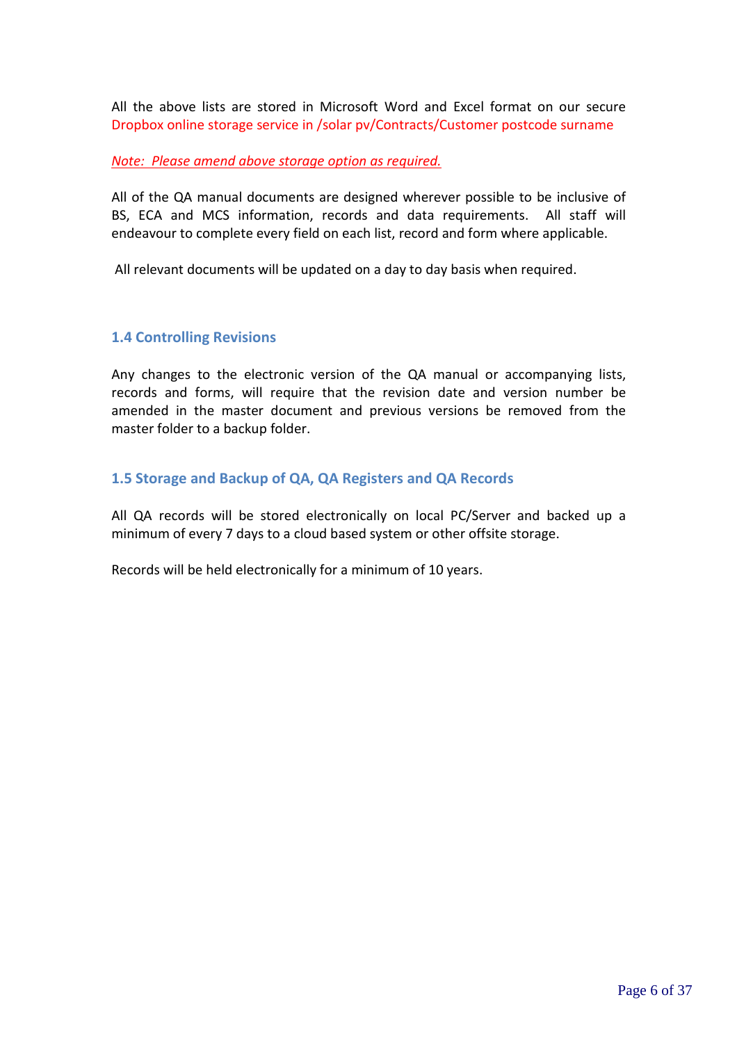All the above lists are stored in Microsoft Word and Excel format on our secure Dropbox online storage service in /solar pv/Contracts/Customer postcode surname

#### *Note: Please amend above storage option as required.*

All of the QA manual documents are designed wherever possible to be inclusive of BS, ECA and MCS information, records and data requirements. All staff will endeavour to complete every field on each list, record and form where applicable.

All relevant documents will be updated on a day to day basis when required.

#### **1.4 Controlling Revisions**

Any changes to the electronic version of the QA manual or accompanying lists, records and forms, will require that the revision date and version number be amended in the master document and previous versions be removed from the master folder to a backup folder.

#### **1.5 Storage and Backup of QA, QA Registers and QA Records**

All QA records will be stored electronically on local PC/Server and backed up a minimum of every 7 days to a cloud based system or other offsite storage.

Records will be held electronically for a minimum of 10 years.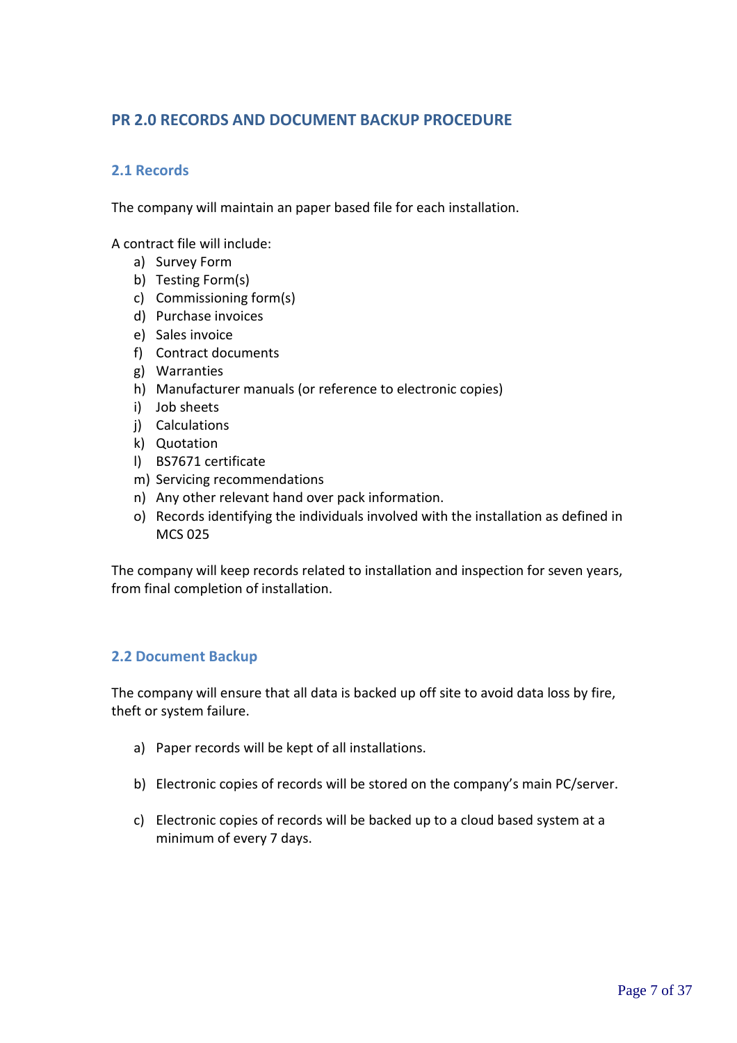## **PR 2.0 RECORDS AND DOCUMENT BACKUP PROCEDURE**

#### **2.1 Records**

The company will maintain an paper based file for each installation.

A contract file will include:

- a) Survey Form
- b) Testing Form(s)
- c) Commissioning form(s)
- d) Purchase invoices
- e) Sales invoice
- f) Contract documents
- g) Warranties
- h) Manufacturer manuals (or reference to electronic copies)
- i) Job sheets
- j) Calculations
- k) Quotation
- l) BS7671 certificate
- m) Servicing recommendations
- n) Any other relevant hand over pack information.
- o) Records identifying the individuals involved with the installation as defined in MCS 025

The company will keep records related to installation and inspection for seven years, from final completion of installation.

#### **2.2 Document Backup**

The company will ensure that all data is backed up off site to avoid data loss by fire, theft or system failure.

- a) Paper records will be kept of all installations.
- b) Electronic copies of records will be stored on the company's main PC/server.
- c) Electronic copies of records will be backed up to a cloud based system at a minimum of every 7 days.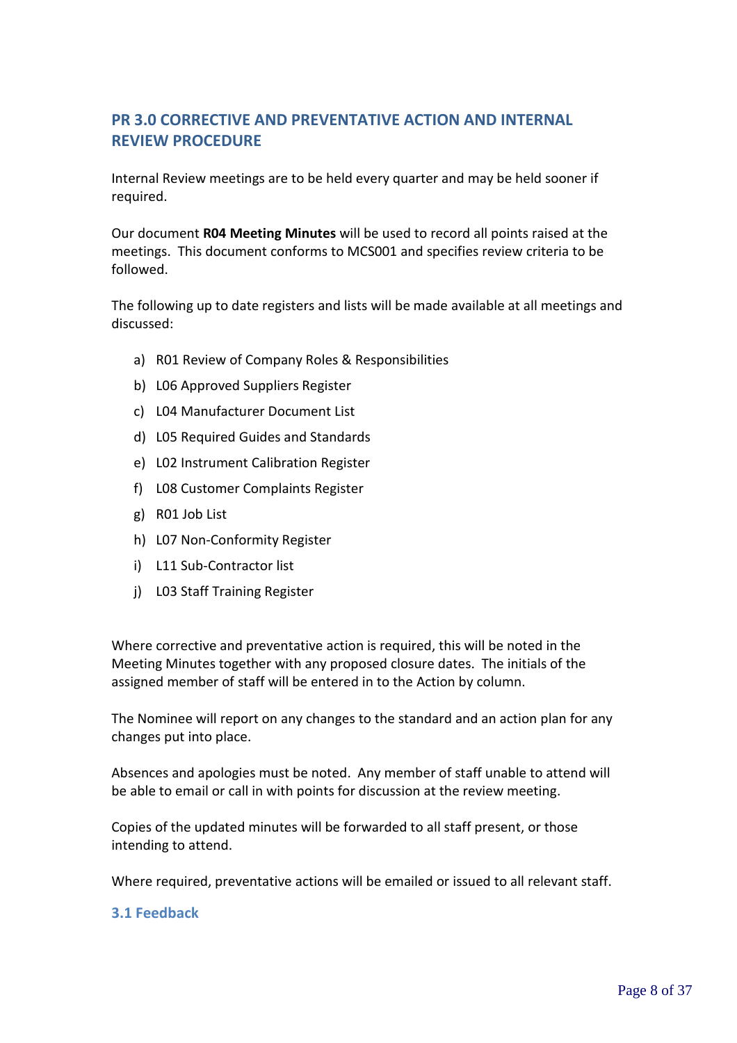# **PR 3.0 CORRECTIVE AND PREVENTATIVE ACTION AND INTERNAL REVIEW PROCEDURE**

Internal Review meetings are to be held every quarter and may be held sooner if required.

Our document **R04 Meeting Minutes** will be used to record all points raised at the meetings. This document conforms to MCS001 and specifies review criteria to be followed.

The following up to date registers and lists will be made available at all meetings and discussed:

- a) R01 Review of Company Roles & Responsibilities
- b) L06 Approved Suppliers Register
- c) L04 Manufacturer Document List
- d) L05 Required Guides and Standards
- e) L02 Instrument Calibration Register
- f) L08 Customer Complaints Register
- g) R01 Job List
- h) L07 Non-Conformity Register
- i) L11 Sub-Contractor list
- j) L03 Staff Training Register

Where corrective and preventative action is required, this will be noted in the Meeting Minutes together with any proposed closure dates. The initials of the assigned member of staff will be entered in to the Action by column.

The Nominee will report on any changes to the standard and an action plan for any changes put into place.

Absences and apologies must be noted. Any member of staff unable to attend will be able to email or call in with points for discussion at the review meeting.

Copies of the updated minutes will be forwarded to all staff present, or those intending to attend.

Where required, preventative actions will be emailed or issued to all relevant staff.

#### **3.1 Feedback**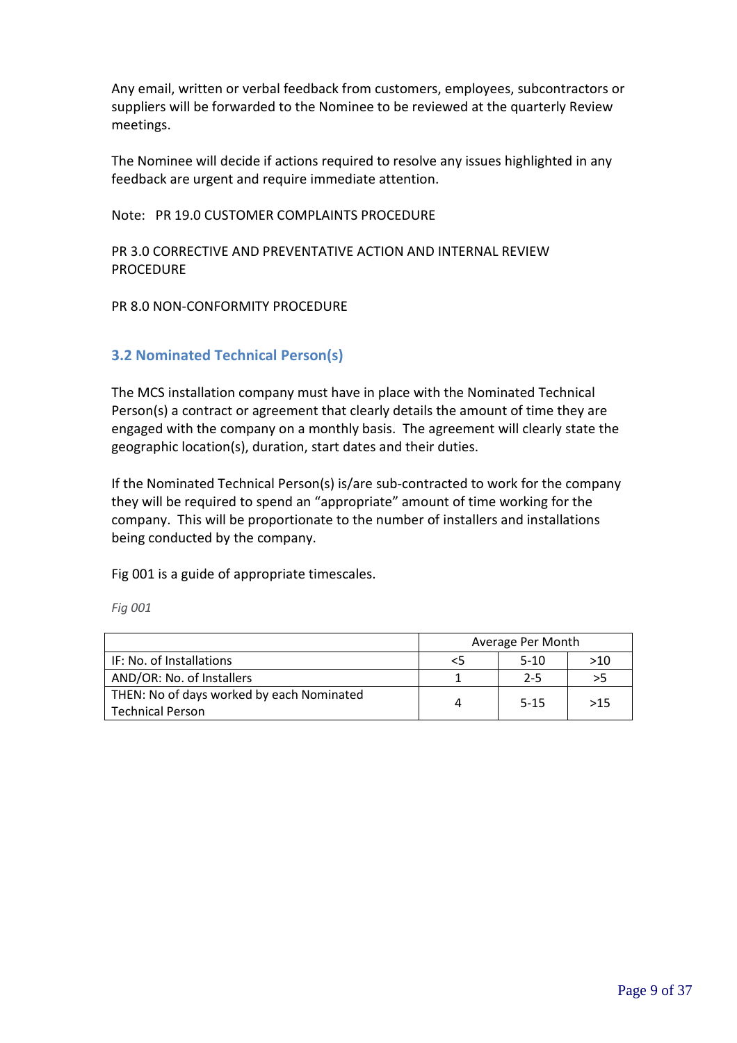Any email, written or verbal feedback from customers, employees, subcontractors or suppliers will be forwarded to the Nominee to be reviewed at the quarterly Review meetings.

The Nominee will decide if actions required to resolve any issues highlighted in any feedback are urgent and require immediate attention.

Note: PR 19.0 CUSTOMER COMPLAINTS PROCEDURE

PR 3.0 CORRECTIVE AND PREVENTATIVE ACTION AND INTERNAL REVIEW PROCEDURE

PR 8.0 NON-CONFORMITY PROCEDURE

#### **3.2 Nominated Technical Person(s)**

The MCS installation company must have in place with the Nominated Technical Person(s) a contract or agreement that clearly details the amount of time they are engaged with the company on a monthly basis. The agreement will clearly state the geographic location(s), duration, start dates and their duties.

If the Nominated Technical Person(s) is/are sub-contracted to work for the company they will be required to spend an "appropriate" amount of time working for the company. This will be proportionate to the number of installers and installations being conducted by the company.

Fig 001 is a guide of appropriate timescales.

*Fig 001*

|                                           | Average Per Month |          |     |
|-------------------------------------------|-------------------|----------|-----|
| IF: No. of Installations                  | <5                | $5-10$   | >10 |
| AND/OR: No. of Installers                 |                   | $2 - 5$  | >5  |
| THEN: No of days worked by each Nominated | Δ                 | $5 - 15$ | >15 |
| Technical Person                          |                   |          |     |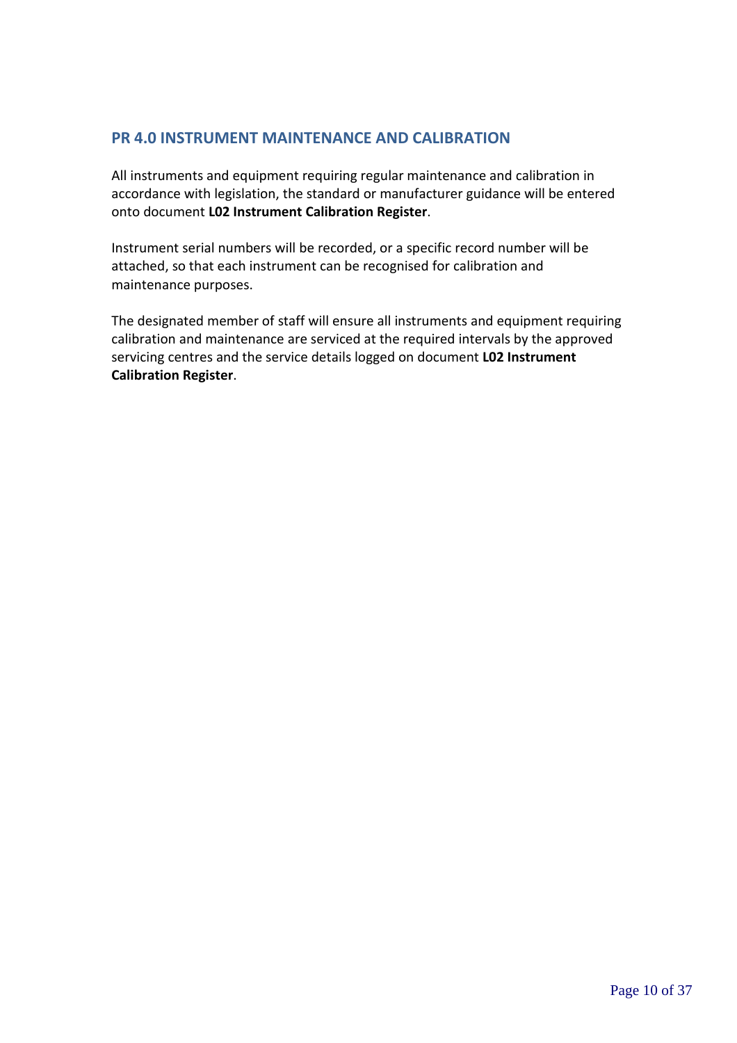#### **PR 4.0 INSTRUMENT MAINTENANCE AND CALIBRATION**

All instruments and equipment requiring regular maintenance and calibration in accordance with legislation, the standard or manufacturer guidance will be entered onto document **L02 Instrument Calibration Register**.

Instrument serial numbers will be recorded, or a specific record number will be attached, so that each instrument can be recognised for calibration and maintenance purposes.

The designated member of staff will ensure all instruments and equipment requiring calibration and maintenance are serviced at the required intervals by the approved servicing centres and the service details logged on document **L02 Instrument Calibration Register**.